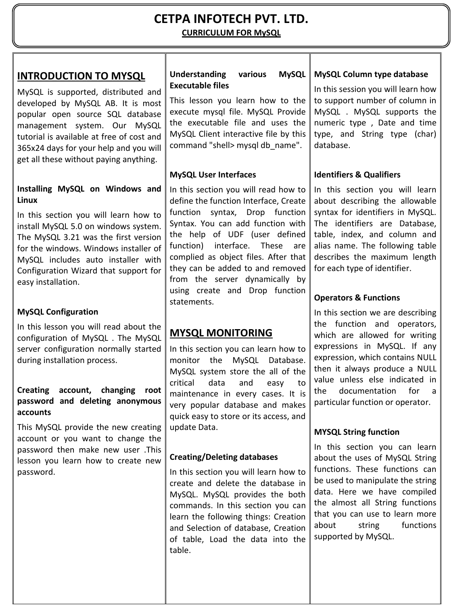# **CETPA INFOTECH PVT. LTD. CURRICULUM FOR MySQL**

## **INTRODUCTION TO MYSQL**

MySQL is supported, distributed and developed by MySQL AB. It is most popular open source SQL database management system. Our MySQL tutorial is available at free of cost and 365x24 days for your help and you will get all these without paying anything.

#### **Installing MySQL on Windows and Linux**

In this section you will learn how to install MySQL 5.0 on windows system. The MySQL 3.21 was the first version for the windows. Windows installer of MySQL includes auto installer with Configuration Wizard that support for easy installation.

## **MySQL Configuration**

In this lesson you will read about the configuration of MySQL . The MySQL server configuration normally started during installation process.

### **Creating account, changing root password and deleting anonymous accounts**

This MySQL provide the new creating account or you want to change the password then make new user .This lesson you learn how to create new password.

### **Understanding various MySQL Executable files**

This lesson you learn how to the execute mysql file. MySQL Provide the executable file and uses the MySQL Client interactive file by this command "shell> mysql db\_name".

## **MySQL User Interfaces**

In this section you will read how to define the function Interface, Create function syntax, Drop function Syntax. You can add function with the help of UDF (user defined function) interface. These are complied as object files. After that they can be added to and removed from the server dynamically by using create and Drop function statements.

# **MYSQL MONITORING**

In this section you can learn how to monitor the MySQL Database. MySQL system store the all of the critical data and easy to maintenance in every cases. It is very popular database and makes quick easy to store or its access, and update Data.

## **Creating/Deleting databases**

In this section you will learn how to create and delete the database in MySQL. MySQL provides the both commands. In this section you can learn the following things: Creation and Selection of database, Creation of table, Load the data into the table.

### **MySQL Column type database**

In this session you will learn how to support number of column in MySQL . MySQL supports the numeric type , Date and time type, and String type (char) database.

## **Identifiers & Qualifiers**

In this section you will learn about describing the allowable syntax for identifiers in MySQL. The identifiers are Database, table, index, and column and alias name. The following table describes the maximum length for each type of identifier.

## **Operators & Functions**

In this section we are describing the function and operators, which are allowed for writing expressions in MySQL. If any expression, which contains NULL then it always produce a NULL value unless else indicated in the documentation for a particular function or operator.

### **MYSQL String function**

In this section you can learn about the uses of MySQL String functions. These functions can be used to manipulate the string data. Here we have compiled the almost all String functions that you can use to learn more about string functions supported by MySQL.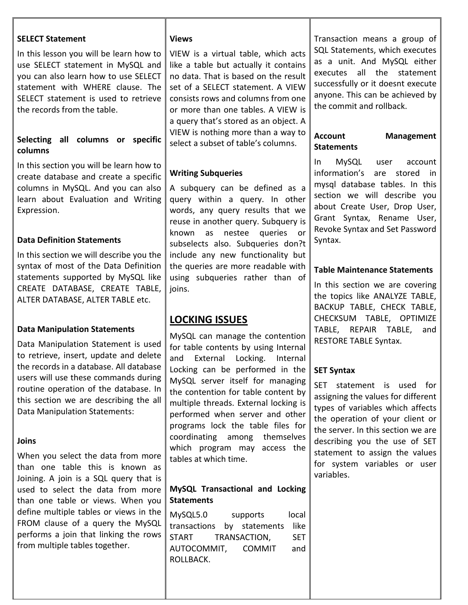| <b>SELECT Statement</b><br>In this lesson you will be learn how to<br>use SELECT statement in MySQL and<br>you can also learn how to use SELECT<br>statement with WHERE clause. The<br>SELECT statement is used to retrieve<br>the records from the table.<br>all columns or specific<br><b>Selecting</b><br>columns                                                                                                                                                                                                                                                                                                                                                                       | <b>Views</b><br>VIEW is a virtual table, which acts<br>like a table but actually it contains<br>no data. That is based on the result<br>set of a SELECT statement. A VIEW<br>consists rows and columns from one<br>or more than one tables. A VIEW is<br>a query that's stored as an object. A<br>VIEW is nothing more than a way to<br>select a subset of table's columns.                                                                                                                                                                                                                                                                                                                     | Transaction means a group of<br>SQL Statements, which executes<br>as a unit. And MySQL either<br>all the<br>statement<br>executes<br>successfully or it doesnt execute<br>anyone. This can be achieved by<br>the commit and rollback.<br><b>Account</b><br><b>Management</b><br><b>Statements</b>                                                                                                             |
|--------------------------------------------------------------------------------------------------------------------------------------------------------------------------------------------------------------------------------------------------------------------------------------------------------------------------------------------------------------------------------------------------------------------------------------------------------------------------------------------------------------------------------------------------------------------------------------------------------------------------------------------------------------------------------------------|-------------------------------------------------------------------------------------------------------------------------------------------------------------------------------------------------------------------------------------------------------------------------------------------------------------------------------------------------------------------------------------------------------------------------------------------------------------------------------------------------------------------------------------------------------------------------------------------------------------------------------------------------------------------------------------------------|---------------------------------------------------------------------------------------------------------------------------------------------------------------------------------------------------------------------------------------------------------------------------------------------------------------------------------------------------------------------------------------------------------------|
| In this section you will be learn how to<br>create database and create a specific<br>columns in MySQL. And you can also<br>learn about Evaluation and Writing<br>Expression.<br><b>Data Definition Statements</b><br>In this section we will describe you the<br>syntax of most of the Data Definition<br>statements supported by MySQL like<br>CREATE DATABASE, CREATE TABLE,<br>ALTER DATABASE, ALTER TABLE etc.                                                                                                                                                                                                                                                                         | <b>Writing Subqueries</b><br>A subquery can be defined as a<br>query within a query. In other<br>words, any query results that we<br>reuse in another query. Subquery is<br>known<br>as nestee<br>queries<br>or<br>subselects also. Subqueries don?t<br>include any new functionality but<br>the queries are more readable with<br>using subqueries rather than of<br>joins.                                                                                                                                                                                                                                                                                                                    | MySQL<br>account<br>In.<br>user<br>information's<br>are stored<br>in<br>mysql database tables. In this<br>section we will describe you<br>about Create User, Drop User,<br>Grant Syntax, Rename User,<br>Revoke Syntax and Set Password<br>Syntax.<br><b>Table Maintenance Statements</b><br>In this section we are covering<br>the topics like ANALYZE TABLE,<br>BACKUP TABLE, CHECK TABLE,                  |
| <b>Data Manipulation Statements</b><br>Data Manipulation Statement is used<br>to retrieve, insert, update and delete<br>the records in a database. All database<br>users will use these commands during<br>routine operation of the database. In<br>this section we are describing the all<br>Data Manipulation Statements:<br>Joins<br>When you select the data from more<br>than one table this is known as<br>Joining. A join is a SQL query that is<br>used to select the data from more<br>than one table or views. When you<br>define multiple tables or views in the<br>FROM clause of a query the MySQL<br>performs a join that linking the rows<br>from multiple tables together. | <b>LOCKING ISSUES</b><br>MySQL can manage the contention<br>for table contents by using Internal<br>and External Locking. Internal<br>Locking can be performed in the<br>MySQL server itself for managing<br>the contention for table content by<br>multiple threads. External locking is<br>performed when server and other<br>programs lock the table files for<br>coordinating among themselves<br>which program may access the<br>tables at which time.<br>MySQL Transactional and Locking<br><b>Statements</b><br>MySQL5.0<br>local<br>supports<br>transactions<br>by statements<br>like<br><b>START</b><br>TRANSACTION,<br><b>SET</b><br>AUTOCOMMIT,<br><b>COMMIT</b><br>and<br>ROLLBACK. | CHECKSUM TABLE, OPTIMIZE<br>TABLE, REPAIR TABLE,<br>and<br><b>RESTORE TABLE Syntax.</b><br><b>SET Syntax</b><br>SET statement is used for<br>assigning the values for different<br>types of variables which affects<br>the operation of your client or<br>the server. In this section we are<br>describing you the use of SET<br>statement to assign the values<br>for system variables or user<br>variables. |

1